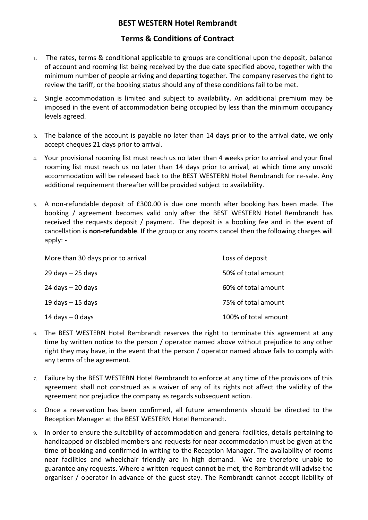## **BEST WESTERN Hotel Rembrandt**

## **Terms & Conditions of Contract**

- 1. The rates, terms & conditional applicable to groups are conditional upon the deposit, balance of account and rooming list being received by the due date specified above, together with the minimum number of people arriving and departing together. The company reserves the right to review the tariff, or the booking status should any of these conditions fail to be met.
- 2. Single accommodation is limited and subject to availability. An additional premium may be imposed in the event of accommodation being occupied by less than the minimum occupancy levels agreed.
- 3. The balance of the account is payable no later than 14 days prior to the arrival date, we only accept cheques 21 days prior to arrival.
- 4. Your provisional rooming list must reach us no later than 4 weeks prior to arrival and your final rooming list must reach us no later than 14 days prior to arrival, at which time any unsold accommodation will be released back to the BEST WESTERN Hotel Rembrandt for re-sale. Any additional requirement thereafter will be provided subject to availability.
- 5. A non-refundable deposit of £300.00 is due one month after booking has been made. The booking / agreement becomes valid only after the BEST WESTERN Hotel Rembrandt has received the requests deposit / payment. The deposit is a booking fee and in the event of cancellation is **non-refundable**. If the group or any rooms cancel then the following charges will apply: -

| More than 30 days prior to arrival | Loss of deposit      |
|------------------------------------|----------------------|
| $29$ days $-25$ days               | 50% of total amount  |
| $24$ days $- 20$ days              | 60% of total amount  |
| $19$ days $-15$ days               | 75% of total amount  |
| $14$ days $-0$ days                | 100% of total amount |

- 6. The BEST WESTERN Hotel Rembrandt reserves the right to terminate this agreement at any time by written notice to the person / operator named above without prejudice to any other right they may have, in the event that the person / operator named above fails to comply with any terms of the agreement.
- 7. Failure by the BEST WESTERN Hotel Rembrandt to enforce at any time of the provisions of this agreement shall not construed as a waiver of any of its rights not affect the validity of the agreement nor prejudice the company as regards subsequent action.
- 8. Once a reservation has been confirmed, all future amendments should be directed to the Reception Manager at the BEST WESTERN Hotel Rembrandt.
- 9. In order to ensure the suitability of accommodation and general facilities, details pertaining to handicapped or disabled members and requests for near accommodation must be given at the time of booking and confirmed in writing to the Reception Manager. The availability of rooms near facilities and wheelchair friendly are in high demand. We are therefore unable to guarantee any requests. Where a written request cannot be met, the Rembrandt will advise the organiser / operator in advance of the guest stay. The Rembrandt cannot accept liability of